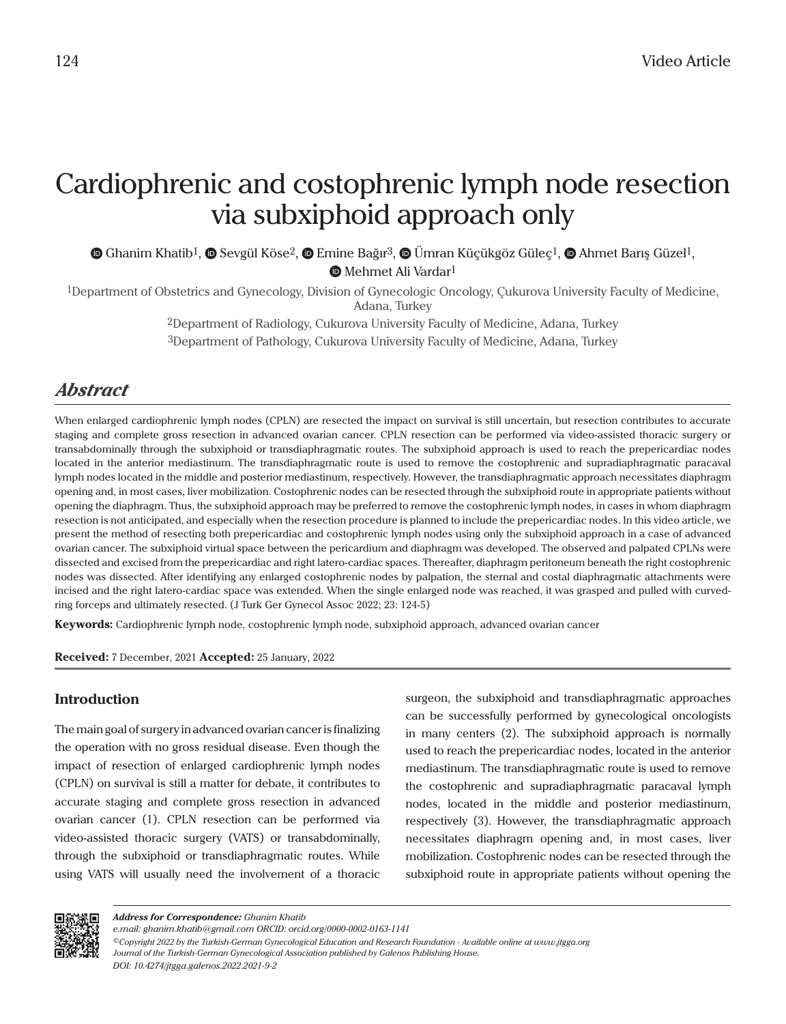## Cardiophrenic and costophrenic lymph node resection via subxiphoid approach only

 $\bullet$ Ghanim Khatib<sup>1</sup>,  $\bullet$  Sevgül Köse<sup>2</sup>,  $\bullet$  Emine Bağır<sup>3</sup>,  $\bullet$  Ümran Küçükgöz Güleç<sup>1</sup>,  $\bullet$  Ahmet Barış Güzel<sup>1</sup>, **MehmetAli Vardar**<sup>1</sup>

1Department of Obstetrics and Gynecology, Division of Gynecologic Oncology, Çukurova University Faculty of Medicine, Adana, Turkey

> 2Department of Radiology, Cukurova University Faculty of Medicine, Adana, Turkey 3Department of Pathology, Cukurova University Faculty of Medicine, Adana, Turkey

## *Abstract*

When enlarged cardiophrenic lymph nodes (CPLN) are resected the impact on survival is still uncertain, but resection contributes to accurate staging and complete gross resection in advanced ovarian cancer. CPLN resection can be performed via video-assisted thoracic surgery or transabdominally through the subxiphoid or transdiaphragmatic routes. The subxiphoid approach is used to reach the prepericardiac nodes located in the anterior mediastinum. The transdiaphragmatic route is used to remove the costophrenic and supradiaphragmatic paracaval lymph nodes located in the middle and posterior mediastinum, respectively. However, the transdiaphragmatic approach necessitates diaphragm opening and, in most cases, liver mobilization. Costophrenic nodes can be resected through the subxiphoid route in appropriate patients without opening the diaphragm. Thus, the subxiphoid approach may be preferred to remove the costophrenic lymph nodes, in cases in whom diaphragm resection is not anticipated, and especially when the resection procedure is planned to include the prepericardiac nodes. In this video article, we present the method of resecting both prepericardiac and costophrenic lymph nodes using only the subxiphoid approach in a case of advanced ovarian cancer. The subxiphoid virtual space between the pericardium and diaphragm was developed. The observed and palpated CPLNs were dissected and excised from the prepericardiac and right latero-cardiac spaces. Thereafter, diaphragm peritoneum beneath the right costophrenic nodes was dissected. After identifying any enlarged costophrenic nodes by palpation, the sternal and costal diaphragmatic attachments were incised and the right latero-cardiac space was extended. When the single enlarged node was reached, it was grasped and pulled with curvedring forceps and ultimately resected. (J Turk Ger Gynecol Assoc 2022; 23: 124-5)

**Keywords:** Cardiophrenic lymph node, costophrenic lymph node, subxiphoid approach, advanced ovarian cancer

**Received:** 7 December, 2021 **Accepted:** 25 January, 2022

## **Introduction**

The main goal of surgery in advanced ovarian cancer is finalizing the operation with no gross residual disease. Even though the impact of resection of enlarged cardiophrenic lymph nodes (CPLN) on survival is still a matter for debate, it contributes to accurate staging and complete gross resection in advanced ovarian cancer (1). CPLN resection can be performed via video-assisted thoracic surgery (VATS) or transabdominally, through the subxiphoid or transdiaphragmatic routes. While using VATS will usually need the involvement of a thoracic surgeon, the subxiphoid and transdiaphragmatic approaches can be successfully performed by gynecological oncologists in many centers (2). The subxiphoid approach is normally used to reach the prepericardiac nodes, located in the anterior mediastinum. The transdiaphragmatic route is used to remove the costophrenic and supradiaphragmatic paracaval lymph nodes, located in the middle and posterior mediastinum, respectively (3). However, the transdiaphragmatic approach necessitates diaphragm opening and, in most cases, liver mobilization. Costophrenic nodes can be resected through the subxiphoid route in appropriate patients without opening the



*e.mail: ghanim.khatib@gmail.com ORCID: orcid.org/0000-0002-0163-1141*

*<sup>©</sup>Copyright 2022 by the Turkish-German Gynecological Education and Research Foundation - Available online at www.jtgga.org Journal of the Turkish-German Gynecological Association published by Galenos Publishing House. DOI: 10.4274/jtgga.galenos.2022.2021-9-2*